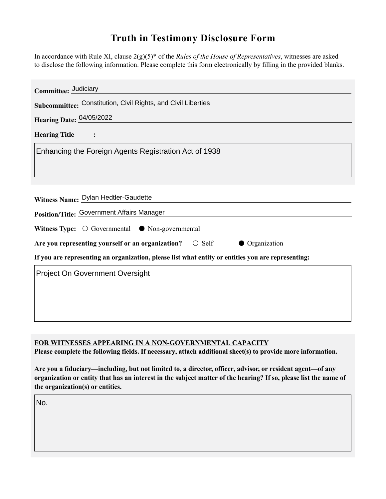## **Truth in Testimony Disclosure Form**

In accordance with Rule XI, clause 2(g)(5)\* of the *Rules of the House of Representatives*, witnesses are asked to disclose the following information. Please complete this form electronically by filling in the provided blanks.

| Committee: Judiciary                                                                               |
|----------------------------------------------------------------------------------------------------|
| Subcommittee: Constitution, Civil Rights, and Civil Liberties                                      |
| Hearing Date: 04/05/2022                                                                           |
| <b>Hearing Title</b>                                                                               |
| Enhancing the Foreign Agents Registration Act of 1938                                              |
| Witness Name: Dylan Hedtler-Gaudette                                                               |
| Position/Title: Government Affairs Manager                                                         |
| Witness Type: $\bigcirc$ Governmental $\bullet$ Non-governmental                                   |
| Are you representing yourself or an organization? $\bigcirc$ Self<br>• Organization                |
| If you are representing an organization, please list what entity or entities you are representing: |
| Project On Government Oversight                                                                    |

## **FOR WITNESSES APPEARING IN A NON-GOVERNMENTAL CAPACITY**

**Please complete the following fields. If necessary, attach additional sheet(s) to provide more information.**

**Are you a fiduciary—including, but not limited to, a director, officer, advisor, or resident agent—of any organization or entity that has an interest in the subject matter of the hearing? If so, please list the name of the organization(s) or entities.**

No.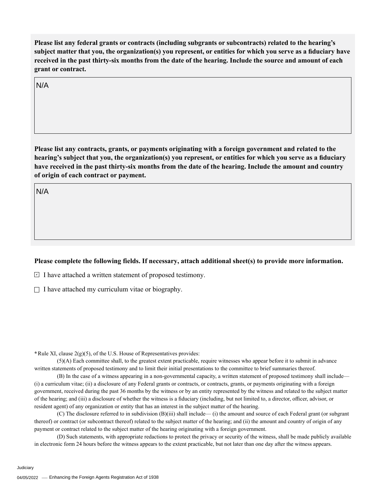**Please list any federal grants or contracts (including subgrants or subcontracts) related to the hearing's subject matter that you, the organization(s) you represent, or entities for which you serve as a fiduciary have received in the past thirty-six months from the date of the hearing. Include the source and amount of each grant or contract.** 

N/A

**Please list any contracts, grants, or payments originating with a foreign government and related to the hearing's subject that you, the organization(s) you represent, or entities for which you serve as a fiduciary have received in the past thirty-six months from the date of the hearing. Include the amount and country of origin of each contract or payment.** 

N/A

## **Please complete the following fields. If necessary, attach additional sheet(s) to provide more information.**

 $\exists$  I have attached a written statement of proposed testimony.

 $\Box$  I have attached my curriculum vitae or biography.

**\***Rule XI, clause 2(g)(5), of the U.S. House of Representatives provides:

(5)(A) Each committee shall, to the greatest extent practicable, require witnesses who appear before it to submit in advance written statements of proposed testimony and to limit their initial presentations to the committee to brief summaries thereof.

(B) In the case of a witness appearing in a non-governmental capacity, a written statement of proposed testimony shall include— (i) a curriculum vitae; (ii) a disclosure of any Federal grants or contracts, or contracts, grants, or payments originating with a foreign government, received during the past 36 months by the witness or by an entity represented by the witness and related to the subject matter of the hearing; and (iii) a disclosure of whether the witness is a fiduciary (including, but not limited to, a director, officer, advisor, or resident agent) of any organization or entity that has an interest in the subject matter of the hearing.

(C) The disclosure referred to in subdivision (B)(iii) shall include— (i) the amount and source of each Federal grant (or subgrant thereof) or contract (or subcontract thereof) related to the subject matter of the hearing; and (ii) the amount and country of origin of any payment or contract related to the subject matter of the hearing originating with a foreign government.

(D) Such statements, with appropriate redactions to protect the privacy or security of the witness, shall be made publicly available in electronic form 24 hours before the witness appears to the extent practicable, but not later than one day after the witness appears.

Judiciary